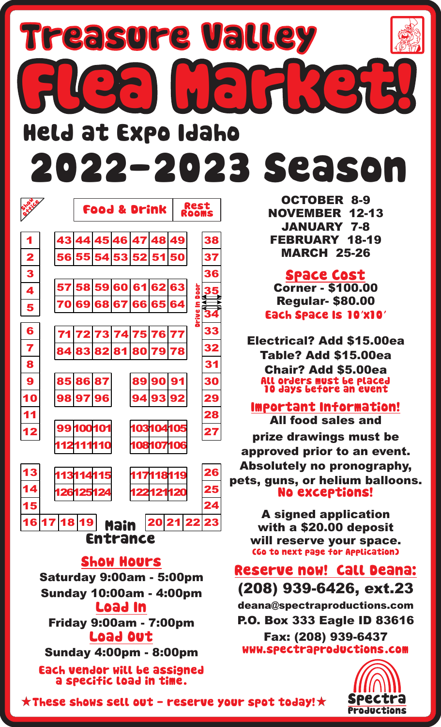## 2022-2023 Season Held at Expo Idaho Flea Market! Treasure Valley



## Show Hours

Saturday 9:00am - 5:00pm Sunday 10:00am - 4:00pm Load In Friday 9:00am - 7:00pm Load Out Sunday 4:00pm - 8:00pm Each vendor will be assigned a specific load in time.

OCTOBER 8-9 NOVEMBER 12-13 JANUARY 7-8 FEBRUARY 18-19 MARCH 25-26

Each Space Is 10'x10' Space Cost Corner - \$100.00 Regular- \$80.00

Electrical? Add \$15.00ea Table? Add \$15.00ea Chair? Add \$5.00ea All orders must be placed 10 days before an event

Important Information! All food sales and

prize drawings must be approved prior to an event. Absolutely no pronography, pets, guns, or helium balloons. No exceptions!

> A signed application with a \$20.00 deposit will reserve your space. (Go to next page for Application)

Reserve now! Call Deana: (208) 939-6426, ext.23

deana@spectraproductions.com P.O. Box 333 Eagle ID 83616 Fax: (208) 939-6437 www.spectraproductions.com



 $\star$  These shows sell out - reserve your spot today!  $\star$  Spectra